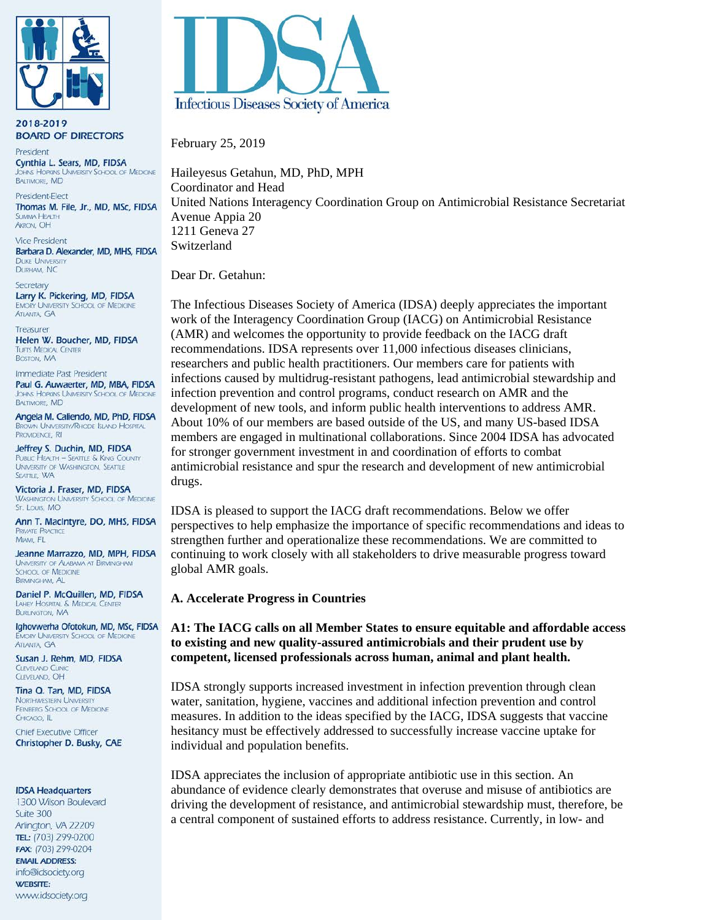

2018-2019 **BOARD OF DIRECTORS** 

President Cynthia L. Sears, MD, FIDSA **THINS HOPKINS UNIVERSITY SCHOOL OF MEDICINE BALTIMORE, MD** 

President-Elect Thomas M. File, Jr., MD, MSc, FIDSA SLIMMAA HEALTH **AKRON, OH** 

**Vice President** Barbara D. Alexander, MD, MHS, FIDSA **DUKE UNIVERSITY** DURHAM, NC

Secretary Larry K. Pickering, MD, FIDSA **EMORY UNIVERSITY SCHOOL OF MEDICINE ATLANTA GA** 

Treasurer Helen W. Boucher, MD, FIDSA **TUFTS MEDICAL CENTER BOSTON, MA** 

Immediate Past President Paul G. Auwaerter, MD, MBA, FIDSA **IOHNS HOPKINS UNIVERSITY SCHOOL OF MEDICINE BALTIMORE, MD** 

Angela M. Caliendo, MD, PhD, FIDSA **BROWN UNIVERSITY/RHODE ISLAND HOSPITAL** PROVIDENCE. RI

Jeffrey S. Duchin, MD, FIDSA **PUBLIC HEALTH - SEATTLE & KING COUNTY** UNIVERSITY OF WASHINGTON, SEATTLE SEATTLE, WA

Victoria J. Fraser, MD. FIDSA **WASHINGTON UNIVERSITY SCHOOL OF MEDICINE** St. Louis, MO

Ann T. MacIntyre, DO, MHS, FIDSA **PRIVATE PRACTICE** MIAMI, FL

Jeanne Marrazzo, MD, MPH, FIDSA UNIVERSITY OF ALABAMA AT BIRMINGHAM **SCHOOL OF MEDICINE BIRMINGHAM, AL** 

Daniel P. McQuillen, MD, FIDSA LAHEY HOSPITAL & MEDICAL CENTER **BURLINGTON, MA** 

Ighovwerha Ofotokun, MD, MSc, FIDSA **EMORY UNIVERSITY SCHOOL OF MEDICINE ATLANTA GA** 

Susan J. Rehm, MD, FIDSA **CLEVELAND CLINI CIFVELAND OH** 

Tina Q. Tan, MD, FIDSA **NORTHWESTERN UNIVERSITY** FEINBERG SCHOOL OF MEDICINE CHICAGO, IL

**Chief Executive Officer** Christopher D. Busky, CAE

#### **IDSA Headquarters**

1300 Wilson Boulevard Suite 300 Arlington, VA 22209 TEL: (703) 299-0200 FAX: (703) 299-0204 **EMAIL ADDRESS:** info@idsociety.org **WEBSITE:** www.idsociety.org



February 25, 2019

Haileyesus Getahun, MD, PhD, MPH Coordinator and Head United Nations Interagency Coordination Group on Antimicrobial Resistance Secretariat Avenue Appia 20 1211 Geneva 27 Switzerland

Dear Dr. Getahun:

The Infectious Diseases Society of America (IDSA) deeply appreciates the important work of the Interagency Coordination Group (IACG) on Antimicrobial Resistance (AMR) and welcomes the opportunity to provide feedback on the IACG draft recommendations. IDSA represents over 11,000 infectious diseases clinicians, researchers and public health practitioners. Our members care for patients with infections caused by multidrug-resistant pathogens, lead antimicrobial stewardship and infection prevention and control programs, conduct research on AMR and the development of new tools, and inform public health interventions to address AMR. About 10% of our members are based outside of the US, and many US-based IDSA members are engaged in multinational collaborations. Since 2004 IDSA has advocated for stronger government investment in and coordination of efforts to combat antimicrobial resistance and spur the research and development of new antimicrobial drugs.

IDSA is pleased to support the IACG draft recommendations. Below we offer perspectives to help emphasize the importance of specific recommendations and ideas to strengthen further and operationalize these recommendations. We are committed to continuing to work closely with all stakeholders to drive measurable progress toward global AMR goals.

### **A. Accelerate Progress in Countries**

## **A1: The IACG calls on all Member States to ensure equitable and affordable access to existing and new quality-assured antimicrobials and their prudent use by competent, licensed professionals across human, animal and plant health.**

IDSA strongly supports increased investment in infection prevention through clean water, sanitation, hygiene, vaccines and additional infection prevention and control measures. In addition to the ideas specified by the IACG, IDSA suggests that vaccine hesitancy must be effectively addressed to successfully increase vaccine uptake for individual and population benefits.

IDSA appreciates the inclusion of appropriate antibiotic use in this section. An abundance of evidence clearly demonstrates that overuse and misuse of antibiotics are driving the development of resistance, and antimicrobial stewardship must, therefore, be a central component of sustained efforts to address resistance. Currently, in low- and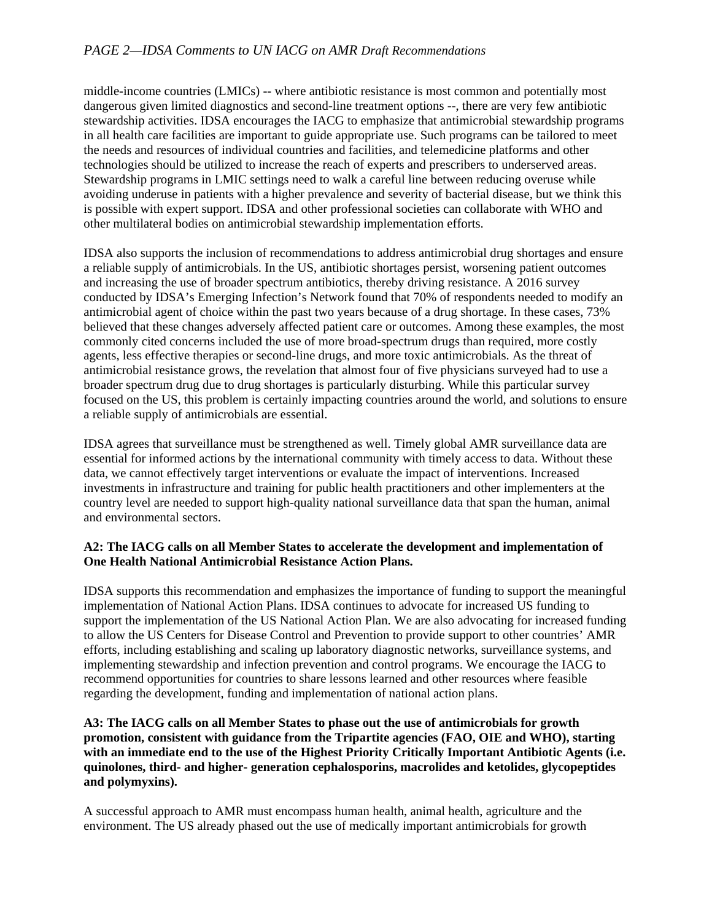middle-income countries (LMICs) -- where antibiotic resistance is most common and potentially most dangerous given limited diagnostics and second-line treatment options --, there are very few antibiotic stewardship activities. IDSA encourages the IACG to emphasize that antimicrobial stewardship programs in all health care facilities are important to guide appropriate use. Such programs can be tailored to meet the needs and resources of individual countries and facilities, and telemedicine platforms and other technologies should be utilized to increase the reach of experts and prescribers to underserved areas. Stewardship programs in LMIC settings need to walk a careful line between reducing overuse while avoiding underuse in patients with a higher prevalence and severity of bacterial disease, but we think this is possible with expert support. IDSA and other professional societies can collaborate with WHO and other multilateral bodies on antimicrobial stewardship implementation efforts.

IDSA also supports the inclusion of recommendations to address antimicrobial drug shortages and ensure a reliable supply of antimicrobials. In the US, antibiotic shortages persist, worsening patient outcomes and increasing the use of broader spectrum antibiotics, thereby driving resistance. A 2016 survey conducted by IDSA's Emerging Infection's Network found that 70% of respondents needed to modify an antimicrobial agent of choice within the past two years because of a drug shortage. In these cases, 73% believed that these changes adversely affected patient care or outcomes. Among these examples, the most commonly cited concerns included the use of more broad-spectrum drugs than required, more costly agents, less effective therapies or second-line drugs, and more toxic antimicrobials. As the threat of antimicrobial resistance grows, the revelation that almost four of five physicians surveyed had to use a broader spectrum drug due to drug shortages is particularly disturbing. While this particular survey focused on the US, this problem is certainly impacting countries around the world, and solutions to ensure a reliable supply of antimicrobials are essential.

IDSA agrees that surveillance must be strengthened as well. Timely global AMR surveillance data are essential for informed actions by the international community with timely access to data. Without these data, we cannot effectively target interventions or evaluate the impact of interventions. Increased investments in infrastructure and training for public health practitioners and other implementers at the country level are needed to support high-quality national surveillance data that span the human, animal and environmental sectors.

# **A2: The IACG calls on all Member States to accelerate the development and implementation of One Health National Antimicrobial Resistance Action Plans.**

IDSA supports this recommendation and emphasizes the importance of funding to support the meaningful implementation of National Action Plans. IDSA continues to advocate for increased US funding to support the implementation of the US National Action Plan. We are also advocating for increased funding to allow the US Centers for Disease Control and Prevention to provide support to other countries' AMR efforts, including establishing and scaling up laboratory diagnostic networks, surveillance systems, and implementing stewardship and infection prevention and control programs. We encourage the IACG to recommend opportunities for countries to share lessons learned and other resources where feasible regarding the development, funding and implementation of national action plans.

## **A3: The IACG calls on all Member States to phase out the use of antimicrobials for growth promotion, consistent with guidance from the Tripartite agencies (FAO, OIE and WHO), starting with an immediate end to the use of the Highest Priority Critically Important Antibiotic Agents (i.e. quinolones, third- and higher- generation cephalosporins, macrolides and ketolides, glycopeptides and polymyxins).**

A successful approach to AMR must encompass human health, animal health, agriculture and the environment. The US already phased out the use of medically important antimicrobials for growth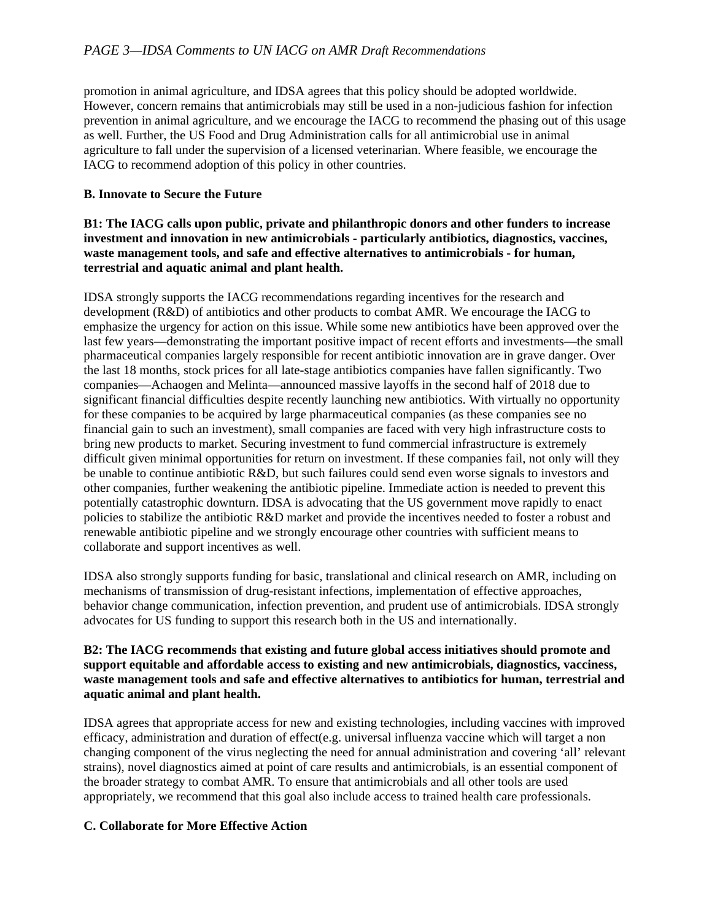promotion in animal agriculture, and IDSA agrees that this policy should be adopted worldwide. However, concern remains that antimicrobials may still be used in a non-judicious fashion for infection prevention in animal agriculture, and we encourage the IACG to recommend the phasing out of this usage as well. Further, the US Food and Drug Administration calls for all antimicrobial use in animal agriculture to fall under the supervision of a licensed veterinarian. Where feasible, we encourage the IACG to recommend adoption of this policy in other countries.

# **B. Innovate to Secure the Future**

# **B1: The IACG calls upon public, private and philanthropic donors and other funders to increase investment and innovation in new antimicrobials - particularly antibiotics, diagnostics, vaccines, waste management tools, and safe and effective alternatives to antimicrobials - for human, terrestrial and aquatic animal and plant health.**

IDSA strongly supports the IACG recommendations regarding incentives for the research and development (R&D) of antibiotics and other products to combat AMR. We encourage the IACG to emphasize the urgency for action on this issue. While some new antibiotics have been approved over the last few years—demonstrating the important positive impact of recent efforts and investments—the small pharmaceutical companies largely responsible for recent antibiotic innovation are in grave danger. Over the last 18 months, stock prices for all late-stage antibiotics companies have fallen significantly. Two companies—Achaogen and Melinta—announced massive layoffs in the second half of 2018 due to significant financial difficulties despite recently launching new antibiotics. With virtually no opportunity for these companies to be acquired by large pharmaceutical companies (as these companies see no financial gain to such an investment), small companies are faced with very high infrastructure costs to bring new products to market. Securing investment to fund commercial infrastructure is extremely difficult given minimal opportunities for return on investment. If these companies fail, not only will they be unable to continue antibiotic R&D, but such failures could send even worse signals to investors and other companies, further weakening the antibiotic pipeline. Immediate action is needed to prevent this potentially catastrophic downturn. IDSA is advocating that the US government move rapidly to enact policies to stabilize the antibiotic R&D market and provide the incentives needed to foster a robust and renewable antibiotic pipeline and we strongly encourage other countries with sufficient means to collaborate and support incentives as well.

IDSA also strongly supports funding for basic, translational and clinical research on AMR, including on mechanisms of transmission of drug-resistant infections, implementation of effective approaches, behavior change communication, infection prevention, and prudent use of antimicrobials. IDSA strongly advocates for US funding to support this research both in the US and internationally.

### **B2: The IACG recommends that existing and future global access initiatives should promote and support equitable and affordable access to existing and new antimicrobials, diagnostics, vacciness, waste management tools and safe and effective alternatives to antibiotics for human, terrestrial and aquatic animal and plant health.**

IDSA agrees that appropriate access for new and existing technologies, including vaccines with improved efficacy, administration and duration of effect(e.g. universal influenza vaccine which will target a non changing component of the virus neglecting the need for annual administration and covering 'all' relevant strains), novel diagnostics aimed at point of care results and antimicrobials, is an essential component of the broader strategy to combat AMR. To ensure that antimicrobials and all other tools are used appropriately, we recommend that this goal also include access to trained health care professionals.

### **C. Collaborate for More Effective Action**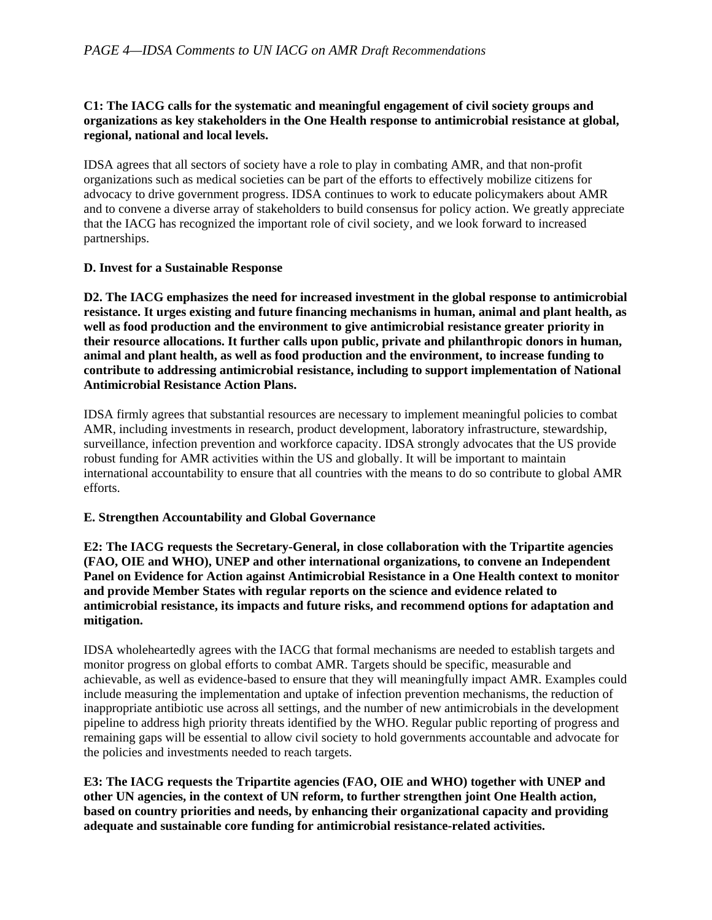## **C1: The IACG calls for the systematic and meaningful engagement of civil society groups and organizations as key stakeholders in the One Health response to antimicrobial resistance at global, regional, national and local levels.**

IDSA agrees that all sectors of society have a role to play in combating AMR, and that non-profit organizations such as medical societies can be part of the efforts to effectively mobilize citizens for advocacy to drive government progress. IDSA continues to work to educate policymakers about AMR and to convene a diverse array of stakeholders to build consensus for policy action. We greatly appreciate that the IACG has recognized the important role of civil society, and we look forward to increased partnerships.

### **D. Invest for a Sustainable Response**

**D2. The IACG emphasizes the need for increased investment in the global response to antimicrobial resistance. It urges existing and future financing mechanisms in human, animal and plant health, as well as food production and the environment to give antimicrobial resistance greater priority in their resource allocations. It further calls upon public, private and philanthropic donors in human, animal and plant health, as well as food production and the environment, to increase funding to contribute to addressing antimicrobial resistance, including to support implementation of National Antimicrobial Resistance Action Plans.**

IDSA firmly agrees that substantial resources are necessary to implement meaningful policies to combat AMR, including investments in research, product development, laboratory infrastructure, stewardship, surveillance, infection prevention and workforce capacity. IDSA strongly advocates that the US provide robust funding for AMR activities within the US and globally. It will be important to maintain international accountability to ensure that all countries with the means to do so contribute to global AMR efforts.

### **E. Strengthen Accountability and Global Governance**

**E2: The IACG requests the Secretary-General, in close collaboration with the Tripartite agencies (FAO, OIE and WHO), UNEP and other international organizations, to convene an Independent Panel on Evidence for Action against Antimicrobial Resistance in a One Health context to monitor and provide Member States with regular reports on the science and evidence related to antimicrobial resistance, its impacts and future risks, and recommend options for adaptation and mitigation.**

IDSA wholeheartedly agrees with the IACG that formal mechanisms are needed to establish targets and monitor progress on global efforts to combat AMR. Targets should be specific, measurable and achievable, as well as evidence-based to ensure that they will meaningfully impact AMR. Examples could include measuring the implementation and uptake of infection prevention mechanisms, the reduction of inappropriate antibiotic use across all settings, and the number of new antimicrobials in the development pipeline to address high priority threats identified by the WHO. Regular public reporting of progress and remaining gaps will be essential to allow civil society to hold governments accountable and advocate for the policies and investments needed to reach targets.

# **E3: The IACG requests the Tripartite agencies (FAO, OIE and WHO) together with UNEP and other UN agencies, in the context of UN reform, to further strengthen joint One Health action, based on country priorities and needs, by enhancing their organizational capacity and providing adequate and sustainable core funding for antimicrobial resistance-related activities.**